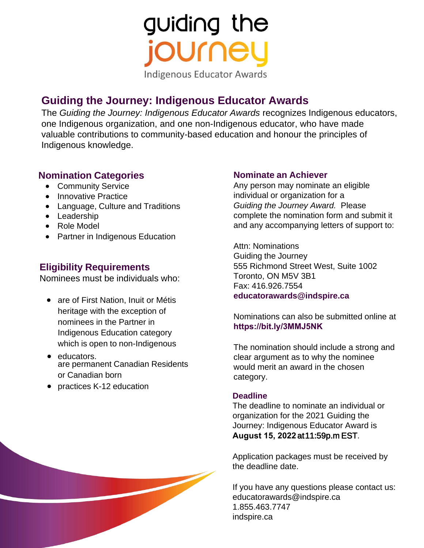guiding the journe **Indigenous Educator Awards** 

## **Guiding the Journey: Indigenous Educator Awards**

The *Guiding the Journey: Indigenous Educator Awards* recognizes Indigenous educators, one Indigenous organization, and one non-Indigenous educator, who have made valuable contributions to community-based education and honour the principles of Indigenous knowledge.

### **Nomination Categories**

- Community Service
- Innovative Practice
- Language, Culture and Traditions
- Leadership
- Role Model
- Partner in Indigenous Education

### **Eligibility Requirements**

Nominees must be individuals who:

- are of First Nation, Inuit or Métis heritage with the exception of nominees in the Partner in Indigenous Education category which is open to non-Indigenous
- educators. are permanent Canadian Residents or Canadian born
- practices K-12 education

#### **Nominate an Achiever**

Any person may nominate an eligible individual or organization for a *Guiding the Journey Award.* Please complete the nomination form and submit it and any accompanying letters of support to:

Attn: Nominations Guiding the Journey 555 Richmond Street West, Suite 1002 Toronto, ON M5V 3B1 Fax: 416.926.7554 **[educatorawards@indspire.ca](mailto:educatorawards@indspire.ca)**

Nominations can also be submitted online at **<https://bit.ly/3MMJ5NK>**

The nomination should include a strong and clear argument as to why the nominee would merit an award in the chosen category.

#### **Deadline**

The deadline to nominate an individual or organization for the 2021 Guiding the Journey: Indigenous Educator Award is **August 15, 2022** at 11:59p.m EST.

Application packages must be received by the deadline date.

If you have any questions please contact us: [educatorawards@indspire.ca](mailto:educatorawards@indspire.ca)  1.855.463.7747 indspire.ca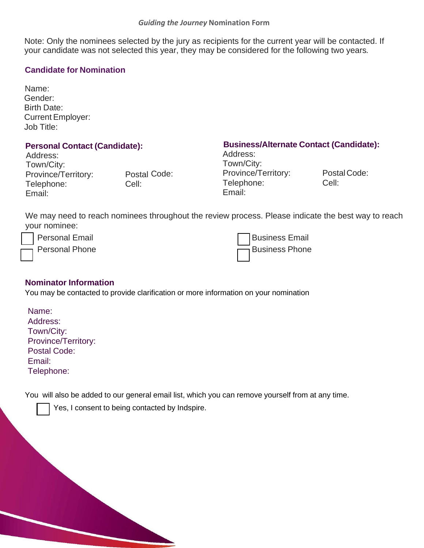Note: Only the nominees selected by the jury as recipients for the current year will be contacted. If your candidate was not selected this year, they may be considered for the following two years*.*

#### **Candidate for Nomination**

Name: Gender: Birth Date: Current Employer: Job Title:

Address: Address: Town/City: Town/City:<br>Province/Territory: Postal Code: Province/Territory: Province/Territory: Postal Code: Province/Territory: Postal Code:<br>
Telephone: Cell: Cell: Pelephone: Cell: Telephone: Cell: Telephone: Cell: Email: Email:

# **Personal Contact (Candidate):**<br>Address:<br>Address:

We may need to reach nominees throughout the review process. Please indicate the best way to reach your nominee:

Personal Email

Personal Phone

Business Email Business Phone

#### **Nominator Information**

You may be contacted to provide clarification or more information on your nomination

| Name:               |
|---------------------|
| Address:            |
| Town/City:          |
| Province/Territory: |
| <b>Postal Code:</b> |
| Email:              |
| Telephone:          |

You will also be added to our general email list, which you can remove yourself from at any time.

Yes, I consent to being contacted by Indspire.